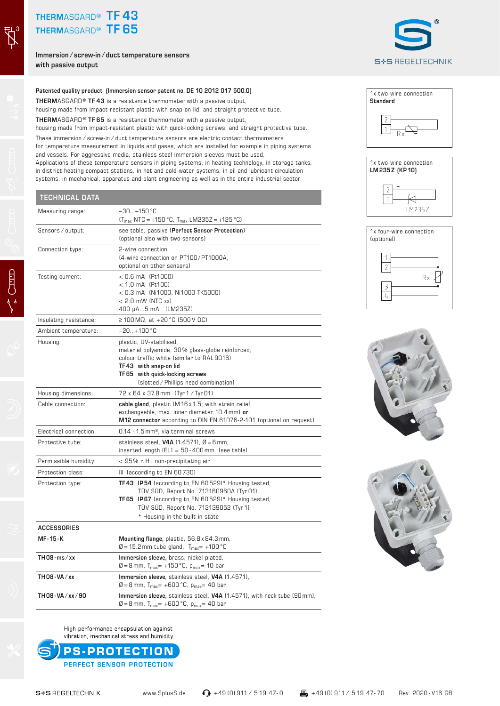|                     |  | Immersion/screw-in/duct temperature sensors |  |
|---------------------|--|---------------------------------------------|--|
| with noocive output |  |                                             |  |

**with passive output**

#### **Patented quality product (Immersion sensor patent no. DE 10 2012 017 500.0)**

**THERM**ASGARD**® TF 43** is a resistance thermometer with a passive output, housing made from impact-resistant plastic with snap-on lid, and straight protective tube.

**THERM**ASGARD**® TF 65** is a resistance thermometer with a passive output, housing made from impact-resistant plastic with quick-locking screws, and straight protective tube.

These immersion ⁄ screw-in ⁄ duct temperature sensors are electric contact thermometers for temperature measurement in liquids and gases, which are installed for example in piping systems and vessels. For aggressive media, stainless steel immersion sleeves must be used. Applications of these temperature sensors in piping systems, in heating technology, in storage tanks, in district heating compact stations, in hot and cold-water systems, in oil and lubricant circulation systems, in mechanical, apparatus and plant engineering as well as in the entire industrial sector.

### **TECHNICAL DATA**

| Measuring range:       | $-30+150$ °C<br>$(T_{max} NTC = +150 °C, T_{max} LM235Z = +125 °C)$                                                                                                                                                                    |  |  |  |
|------------------------|----------------------------------------------------------------------------------------------------------------------------------------------------------------------------------------------------------------------------------------|--|--|--|
| Sensors / output:      | see table, passive (Perfect Sensor Protection)<br>(optional also with two sensors)                                                                                                                                                     |  |  |  |
| Connection type:       | 2-wire connection<br>(4-wire connection on PT100/PT1000A,<br>optional on other sensors)                                                                                                                                                |  |  |  |
| Testing current:       | $< 0.6$ mA (Pt1000)<br>$< 1.0$ mA (Pt100)<br>< 0.3 mA (Ni1000, Ni1000 TK5000)<br>$< 2.0$ mW (NTC xx)<br>400 µA5 mA (LM235Z)                                                                                                            |  |  |  |
| Insulating resistance: | ≥ 100 MΩ, at +20 °C (500 V DC)                                                                                                                                                                                                         |  |  |  |
| Ambient temperature:   | $-20+100$ °C                                                                                                                                                                                                                           |  |  |  |
| Housing:               | plastic, UV-stabilised,<br>material polyamide, 30% glass-globe reinforced,<br>colour traffic white (similar to RAL 9016)<br>TF43 with snap-on lid<br>TF65 with quick-locking screws<br>(slotted / Phillips head combination)           |  |  |  |
| Housing dimensions:    | 72 x 64 x 37.8 mm (Tyr 1 / Tyr 01)                                                                                                                                                                                                     |  |  |  |
| Cable connection:      | cable gland, plastic (M16 x 1.5; with strain relief,<br>exchangeable, max. inner diameter 10.4 mm) or<br>M12 connector according to DIN EN 61076-2-101 (optional on request)                                                           |  |  |  |
| Electrical connection: | 0.14 - 1.5 mm <sup>2</sup> , via terminal screws                                                                                                                                                                                       |  |  |  |
| Protective tube:       | stainless steel, V4A $(1.4571)$ , $\emptyset = 6$ mm,<br>inserted length $(EL) = 50 - 400$ mm $(see table)$                                                                                                                            |  |  |  |
| Permissible humidity:  | < 95 % r. H., non-precipitating air                                                                                                                                                                                                    |  |  |  |
| Protection class:      | III (according to EN 60730)                                                                                                                                                                                                            |  |  |  |
| Protection type:       | TF43 IP54 (according to EN 60529)* Housing tested,<br>TÜV SÜD, Report No. 713160960A (Tyr 01)<br><b>TF65 IP67</b> (according to EN 60529)* Housing tested,<br>TÜV SÜD, Report No. 713139052 (Tyr 1)<br>* Housing in the built-in state |  |  |  |
| <b>ACCESSORIES</b>     |                                                                                                                                                                                                                                        |  |  |  |
| <b>MF-15-K</b>         | Mounting flange, plastic, 56.8 x 84.3 mm,<br>$\varnothing$ = 15.2 mm tube gland, T <sub>max</sub> = +100 °C                                                                                                                            |  |  |  |
| $TH08 \cdot ms / xx$   | Immersion sleeve, brass, nickel-plated,<br>Ø = 8 mm, T <sub>max</sub> = +150 °C, p <sub>max</sub> = 10 bar                                                                                                                             |  |  |  |
| TH08-VA/xx             | Immersion sleeve, stainless steel, V4A (1.4571),<br>Ø = 8 mm, T <sub>max</sub> = +600 °C, p <sub>max</sub> = 40 bar                                                                                                                    |  |  |  |
| TH08-VA/xx/90          | Immersion sleeve, stainless steel, V4A (1.4571), with neck tube (90 mm),<br>Ø = 8 mm, T <sub>max</sub> = +600 °C, p <sub>max</sub> = 40 bar                                                                                            |  |  |  |

High-performance encapsulation against vibration, mechanical stress and humidity















 $\vec{Z}^{\text{t}}$ 

www.SplusS.de ● →49 (0) 911 / 5 19 47- 0 +49 (0) 911 / 5 19 47- 70 Rev. 2020 - V16 GB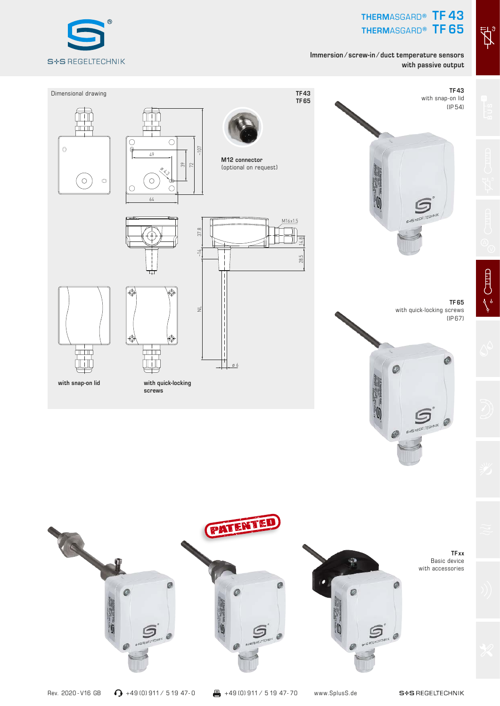# **THERM**ASGARD**® TF 43 THERM**ASGARD**® TF 65**

 $\sum_{\alpha=1}^{n}$ 

見

 $\frac{1}{2}$ 

**Immersion ⁄ screw-in ⁄ duct temperature sensors with passive output**







**↑** +49 (0) 911 / 5 19 47- 0 +49 (0) 911 / 5 19 47- 70 www.SplusS.de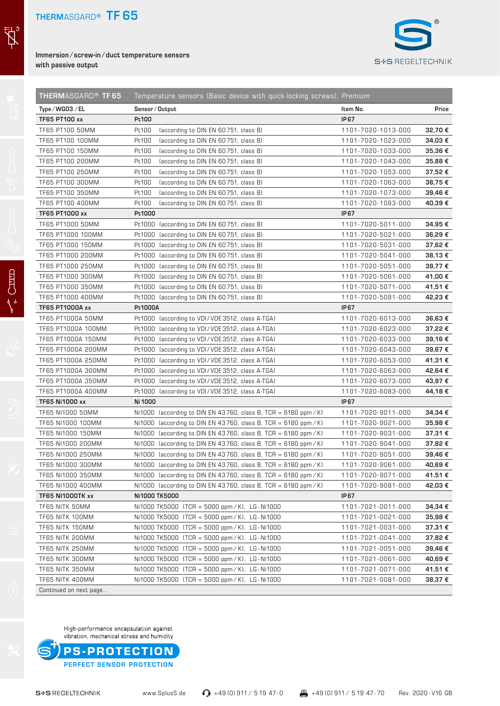$\vec{A}^{\text{c}}$ 

自

**Immersion ⁄ screw-in ⁄ duct temperature sensors with passive output**



|                   | <b>THERMASGARD® TF65</b>                  | Temperature sensors (Basic device with quick-locking screws), <i>Premium</i>                                                   |                                          |                  |
|-------------------|-------------------------------------------|--------------------------------------------------------------------------------------------------------------------------------|------------------------------------------|------------------|
|                   | Type/WGO3/EL                              | Sensor/Output                                                                                                                  |                                          | Price            |
|                   | TF65 PT100 xx                             | Pt100                                                                                                                          | IP 67                                    |                  |
|                   | TF65 PT100 50MM                           | Pt100<br>(according to DIN EN 60751, class B)                                                                                  | 1101-7020-1013-000                       | 32,70€           |
|                   | TF65 PT100 100MM                          | Pt100<br>(according to DIN EN 60751, class B)                                                                                  | 1101-7020-1023-000                       | 34,03€           |
|                   | TF65 PT100 150MM                          | Pt100<br>(according to DIN EN 60751, class B)                                                                                  | 1101-7020-1033-000                       | 35,36€           |
|                   | TF65 PT100 200MM                          | Pt100<br>(according to DIN EN 60751, class B)                                                                                  | 1101-7020-1043-000                       | 35,88€           |
|                   | TF65 PT100 250MM                          | Pt100<br>(according to DIN EN 60751, class B)                                                                                  | 1101-7020-1053-000                       | 37,52€           |
|                   | TF65 PT100 300MM                          | Pt100<br>(according to DIN EN 60751, class B)                                                                                  | 1101-7020-1063-000                       | 38,75€           |
|                   | TF65 PT100 350MM                          | Pt100<br>(according to DIN EN 60751, class B)                                                                                  | 1101-7020-1073-000                       | 39,46€           |
|                   | TF65 PT100 400MM                          | Pt100<br>(according to DIN EN 60751, class B)                                                                                  | 1101-7020-1083-000                       | 40.39€           |
|                   | TF65 PT1000 xx                            | Pt1000                                                                                                                         | IP 67                                    |                  |
|                   | TF65 PT1000 50MM                          | Pt1000 (according to DIN EN 60751, class B)                                                                                    | 1101-7020-5011-000                       | 34,95€           |
|                   | TF65 PT1000 100MM                         | Pt1000 (according to DIN EN 60751, class B)                                                                                    | 1101-7020-5021-000                       | 36,29€           |
|                   | TF65 PT1000 150MM                         | Pt1000 (according to DIN EN 60751, class B)                                                                                    | 1101-7020-5031-000                       | 37,62€           |
|                   | TF65 PT1000 200MM                         | Pt1000<br>(according to DIN EN 60751, class B)                                                                                 | 1101-7020-5041-000                       | 38,13€           |
|                   | TF65 PT1000 250MM                         | Pt1000 (according to DIN EN 60751, class B)                                                                                    | 1101-7020-5051-000                       | 39,77 €          |
|                   | TF65 PT1000 300MM                         | Pt1000 (according to DIN EN 60751, class B)                                                                                    | 1101-7020-5061-000                       | 41,00 €          |
|                   | TF65 PT1000 350MM                         | Pt1000 (according to DIN EN 60751, class B)                                                                                    | 1101-7020-5071-000                       | 41,51 €          |
|                   | TF65 PT1000 400MM                         | Pt1000 (according to DIN EN 60751, class B)                                                                                    | 1101-7020-5081-000                       | 42,23€           |
|                   | <b>TF65 PT1000A xx</b>                    | Pt1000A                                                                                                                        | IP <sub>67</sub>                         |                  |
|                   | TF65 PT1000A 50MM                         | Pt1000 (according to VDI/VDE 3512, class A-TGA)                                                                                | 1101-7020-6013-000                       | 36,63€           |
|                   | TF65 PT1000A 100MM                        | Pt1000 (according to VDI/VDE 3512, class A-TGA)                                                                                | 1101-7020-6023-000                       | 37,22€           |
|                   | TF65 PT1000A 150MM                        | Pt1000<br>(according to VDI/VDE 3512, class A-TGA)                                                                             | 1101-7020-6033-000                       | 39,16€           |
|                   | TF65 PT1000A 200MM                        | Pt1000<br>(according to VDI/VDE 3512, class A-TGA)                                                                             | 1101-7020-6043-000                       | 39,67€           |
|                   | TF65 PT1000A 250MM                        | Pt1000 (according to VDI/VDE 3512, class A-TGA)                                                                                | 1101-7020-6053-000                       | 41,31 €          |
|                   | TF65 PT1000A 300MM                        | Pt1000 (according to VDI/VDE 3512, class A-TGA)                                                                                | 1101-7020-6063-000                       | 42,64 €          |
|                   | TF65 PT1000A 350MM                        | Pt1000<br>(according to VDI/VDE 3512, class A-TGA)                                                                             | 1101-7020-6073-000                       | 43,97€           |
|                   | TF65 PT1000A 400MM                        | Pt1000 (according to VDI/VDE 3512, class A-TGA)                                                                                | 1101-7020-6083-000                       | 44,18€           |
|                   | <b>TF65 Ni1000 xx</b>                     | Ni 1000                                                                                                                        | IP 67                                    |                  |
|                   | TF65 NI1000 50MM                          | Ni1000 (according to DIN EN 43760, class B, TCR = 6180 ppm/K)                                                                  | 1101-7020-9011-000                       | 34,34 €          |
|                   | TF65 NI1000 100MM                         | Ni1000 (according to DIN EN 43760, class B, TCR = 6180 ppm/K)                                                                  | 1101-7020-9021-000                       | 35,98€           |
|                   | TF65 NI1000 150MM                         | Ni1000 (according to DIN EN 43760, class B, TCR = 6180 ppm/K)                                                                  | 1101-7020-9031-000                       | 37,31 €          |
|                   | TF65 NI1000 200MM                         | Ni1000 (according to DIN EN 43760, class B, TCR = 6180 ppm/K)                                                                  | 1101-7020-9041-000                       | 37,82€           |
|                   | TF65 NI1000 250MM                         | Ni1000 (according to DIN EN 43760, class B, TCR = 6180 ppm/K)                                                                  | 1101-7020-9051-000                       | 39,46€<br>40,69€ |
|                   | TF65 NI1000 300MM<br>TF65 NI1000 350MM    | Ni1000 (according to DIN EN 43760, class B, TCR = 6180 ppm/K)<br>Ni1000 (according to DIN EN 43760, class B, TCR = 6180 ppm/K) | 1101-7020-9061-000<br>1101-7020-9071-000 | 41,51 €          |
|                   |                                           | Ni1000 (according to DIN EN 43760, class B, TCR = 6180 ppm/K)                                                                  |                                          | 42,03 €          |
| TF65 NI1000 400MM |                                           | Ni1000 TK5000                                                                                                                  | 1101-7020-9081-000<br>IP 67              |                  |
|                   | <b>TF65 NI1000TK xx</b><br>TF65 NITK 50MM | $Ni1000$ TK5000 (TCR = 5000 ppm/K), LG-Ni1000                                                                                  | 1101-7021-0011-000                       | 34,34€           |
|                   | TF65 NITK 100MM                           | $Ni1000$ TK5000 (TCR = 5000 ppm/K), LG-Ni1000                                                                                  | 1101-7021-0021-000                       | 35,98€           |
|                   | TF65 NITK 150MM                           | $Ni1000$ TK5000 $(TCR = 5000$ ppm/K), LG-Ni1000                                                                                | 1101-7021-0031-000                       | 37,31€           |
|                   | TF65 NITK 200MM                           | $Ni1000$ TK5000 $(TCR = 5000$ ppm / K), LG-Ni1000                                                                              | 1101-7021-0041-000                       | 37,82€           |
|                   | TF65 NITK 250MM                           | $Ni1000$ TK5000 (TCR = 5000 ppm/K), LG-Ni1000                                                                                  | 1101-7021-0051-000                       | 39,46€           |
|                   | TF65 NITK 300MM                           | Ni1000 TK5000 $(TCR = 5000 ppm / K)$ , LG-Ni1000                                                                               | 1101-7021-0061-000                       | 40,69 €          |
| TF65 NITK 350MM   |                                           | Ni1000 TK5000 $(TCR = 5000$ ppm / K), LG-Ni1000                                                                                | 1101-7021-0071-000                       | 41,51 €          |
|                   | TF65 NITK 400MM                           | $Ni1000$ TK5000 (TCR = 5000 ppm/K), LG-Ni1000                                                                                  | 1101-7021-0081-000                       | 38,37 €          |
|                   |                                           |                                                                                                                                |                                          |                  |

Continued on next page...

High-performance encapsulation against vibration, mechanical stress and humidity



www.SplusS.de ● →49 (0) 911 / 5 19 47- 0 +49 (0) 911 / 5 19 47- 70 Rev. 2020 - V16 GB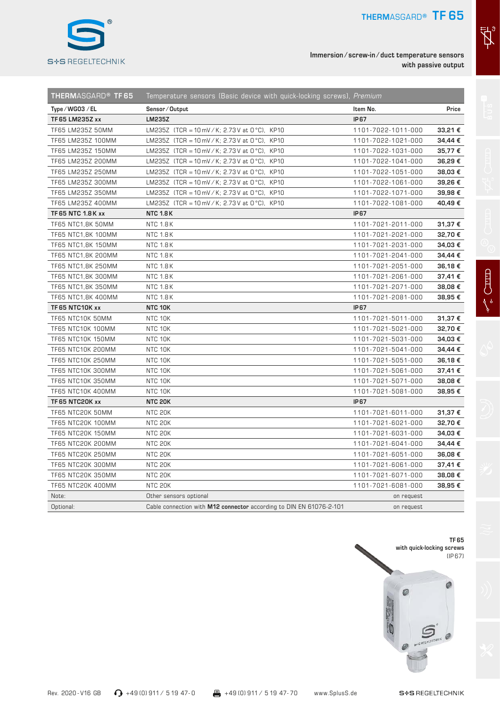$\overleftrightarrow{\mathcal{L}}_\circ$ 

 $\sum_{i=1}^{n} \frac{1}{i} \sum_{i=1}^{n} \frac{1}{i} \sum_{i=1}^{n} \frac{1}{i} \sum_{i=1}^{n} \frac{1}{i} \sum_{i=1}^{n} \frac{1}{i} \sum_{i=1}^{n} \frac{1}{i} \sum_{i=1}^{n} \frac{1}{i} \sum_{i=1}^{n} \frac{1}{i} \sum_{i=1}^{n} \frac{1}{i} \sum_{i=1}^{n} \frac{1}{i} \sum_{i=1}^{n} \frac{1}{i} \sum_{i=1}^{n} \frac{1}{i} \sum_{i=1}^{n} \frac{1}{i$ 



**Immersion ⁄ screw-in ⁄ duct temperature sensors with passive output**

| <b>THERMASGARD® TF65</b> | Temperature sensors (Basic device with quick-locking screws), Premium |                    |         |  |
|--------------------------|-----------------------------------------------------------------------|--------------------|---------|--|
| Type/WG03/EL             | Sensor/Output                                                         | Item No.           | Price   |  |
| TF65 LM235Z xx           | LM235Z                                                                | <b>IP67</b>        |         |  |
| TF65 LM235Z 50MM         | LM235Z (TCR = 10 mV / K; 2.73 V at 0 °C), KP10                        | 1101-7022-1011-000 | 33,21€  |  |
| TF65 LM235Z 100MM        | LM235Z (TCR = 10 mV / K; 2.73 V at 0 °C), KP10                        | 1101-7022-1021-000 | 34,44 € |  |
| TF65 LM235Z 150MM        | LM235Z (TCR = 10 mV / K; 2.73 V at 0 °C), KP10                        | 1101-7022-1031-000 | 35,77€  |  |
| TF65 LM235Z 200MM        | LM235Z (TCR = 10 mV / K; 2.73 V at 0 °C), KP10                        | 1101-7022-1041-000 | 36,29€  |  |
| TF65 LM235Z 250MM        | LM235Z (TCR = 10 mV/K; 2.73 V at 0 °C), KP10                          | 1101-7022-1051-000 | 38,03€  |  |
| TF65 LM235Z 300MM        | LM235Z (TCR = 10 mV / K; 2.73 V at 0 °C), KP10                        | 1101-7022-1061-000 | 39,26€  |  |
| TF65 LM235Z 350MM        | LM235Z (TCR = 10 mV/K; 2.73 V at 0 °C), KP10                          | 1101-7022-1071-000 | 39,98€  |  |
| TF65 LM235Z 400MM        | LM235Z (TCR = 10 mV / K; 2.73 V at 0 °C), KP10                        | 1101-7022-1081-000 | 40,49€  |  |
| <b>TF65 NTC 1.8 K xx</b> | <b>NTC 1.8K</b>                                                       | <b>IP67</b>        |         |  |
| TF65 NTC1,8K 50MM        | <b>NTC 1.8K</b>                                                       | 1101-7021-2011-000 | 31,37 € |  |
| TF65 NTC1,8K 100MM       | <b>NTC 1.8K</b>                                                       | 1101-7021-2021-000 | 32,70€  |  |
| TF65 NTC1,8K 150MM       | <b>NTC 1.8K</b>                                                       | 1101-7021-2031-000 | 34,03€  |  |
| TF65 NTC1,8K 200MM       | <b>NTC 1.8K</b>                                                       | 1101-7021-2041-000 | 34,44 € |  |
| TF65 NTC1,8K 250MM       | <b>NTC 1.8K</b>                                                       | 1101-7021-2051-000 | 36,18€  |  |
| TF65 NTC1,8K 300MM       | <b>NTC 1.8K</b>                                                       | 1101-7021-2061-000 | 37,41 € |  |
| TF65 NTC1,8K 350MM       | <b>NTC 1.8K</b>                                                       | 1101-7021-2071-000 | 38,08€  |  |
| TF65 NTC1,8K 400MM       | <b>NTC 1.8K</b>                                                       | 1101-7021-2081-000 | 38,95€  |  |
| TF65 NTC10K xx           | <b>NTC 10K</b>                                                        | <b>IP67</b>        |         |  |
| TF65 NTC10K 50MM         | NTC 10K                                                               | 1101-7021-5011-000 | 31,37 € |  |
| TF65 NTC10K 100MM        | NTC 10K                                                               | 1101-7021-5021-000 | 32,70€  |  |
| <b>TF65 NTC10K 150MM</b> | NTC 10K                                                               | 1101-7021-5031-000 | 34,03€  |  |
| TF65 NTC10K 200MM        | NTC 10K                                                               | 1101-7021-5041-000 | 34,44 € |  |
| <b>TF65 NTC10K 250MM</b> | NTC 10K                                                               | 1101-7021-5051-000 | 36,18€  |  |
| TF65 NTC10K 300MM        | NTC 10K                                                               | 1101-7021-5061-000 | 37,41 € |  |
| TF65 NTC10K 350MM        | NTC 10K                                                               | 1101-7021-5071-000 | 38,08€  |  |
| TF65 NTC10K 400MM        | NTC 10K                                                               | 1101-7021-5081-000 | 38,95€  |  |
| TF65 NTC20K xx           | NTC 20K                                                               | <b>IP67</b>        |         |  |
| TF65 NTC20K 50MM         | NTC 20K                                                               | 1101-7021-6011-000 | 31,37 € |  |
| TF65 NTC20K 100MM        | NTC 20K                                                               | 1101-7021-6021-000 | 32,70€  |  |
| TF65 NTC20K 150MM        | NTC 20K                                                               | 1101-7021-6031-000 | 34,03€  |  |
| TF65 NTC20K 200MM        | NTC 20K                                                               | 1101-7021-6041-000 | 34,44 € |  |
| TF65 NTC20K 250MM        | NTC 20K                                                               | 1101-7021-6051-000 | 36,08€  |  |
| TF65 NTC20K 300MM        | NTC 20K                                                               | 1101-7021-6061-000 | 37,41€  |  |
| TF65 NTC20K 350MM        | NTC 20K                                                               | 1101-7021-6071-000 | 38,08€  |  |
| TF65 NTC20K 400MM        | NTC 20K                                                               | 1101-7021-6081-000 | 38,95€  |  |
| Note:                    | Other sensors optional                                                | on request         |         |  |
| Optional:                | Cable connection with M12 connector according to DIN EN 61076-2-101   | on request         |         |  |



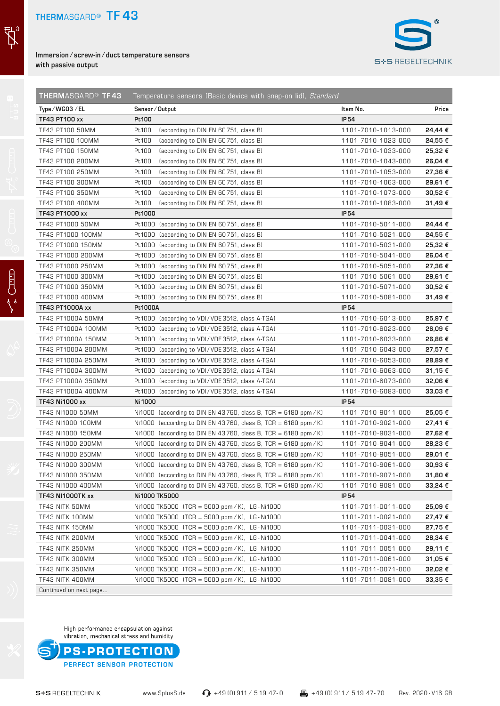$\vec{A}^{\text{c}}$ 

自

**Immersion ⁄ screw-in ⁄ duct temperature sensors with passive output**



| THERMASGARD® TF 43      | Temperature sensors (Basic device with snap-on lid), Standard    |                    |         |
|-------------------------|------------------------------------------------------------------|--------------------|---------|
| Type/WGO3/EL            | Sensor / Output                                                  | Item No.           | Price   |
| TF43 PT100 xx           | Pt100                                                            | <b>IP54</b>        |         |
| TF43 PT100 50MM         | Pt100<br>(according to DIN EN 60751, class B)                    | 1101-7010-1013-000 | 24,44 € |
| TF43 PT100 100MM        | Pt100<br>(according to DIN EN 60751, class B)                    | 1101-7010-1023-000 | 24,55 € |
| TF43 PT100 150MM        | Pt100<br>(according to DIN EN 60751, class B)                    | 1101-7010-1033-000 | 25,32 € |
| TF43 PT100 200MM        | Pt100<br>(according to DIN EN 60751, class B)                    | 1101-7010-1043-000 | 26,04 € |
| TF43 PT100 250MM        | (according to DIN EN 60751, class B)<br>Pt100                    | 1101-7010-1053-000 | 27,36€  |
| TF43 PT100 300MM        | Pt100<br>(according to DIN EN 60751, class B)                    | 1101-7010-1063-000 | 29,61€  |
| TF43 PT100 350MM        | (according to DIN EN 60751, class B)<br>Pt100                    | 1101-7010-1073-000 | 30.52€  |
| TF43 PT100 400MM        | Pt100<br>(according to DIN EN 60751, class B)                    | 1101-7010-1083-000 | 31,49€  |
| TF43 PT1000 xx          | Pt1000                                                           | IP 54              |         |
| TF43 PT1000 50MM        | Pt1000 (according to DIN EN 60751, class B)                      | 1101-7010-5011-000 | 24,44 € |
| TF43 PT1000 100MM       | Pt1000 (according to DIN EN 60751, class B)                      | 1101-7010-5021-000 | 24,55 € |
| TF43 PT1000 150MM       | Pt1000 (according to DIN EN 60751, class B)                      | 1101-7010-5031-000 | 25,32€  |
| TF43 PT1000 200MM       | Pt1000 (according to DIN EN 60751, class B)                      | 1101-7010-5041-000 | 26,04 € |
| TF43 PT1000 250MM       | Pt1000 (according to DIN EN 60751, class B)                      | 1101-7010-5051-000 | 27,36 € |
| TF43 PT1000 300MM       | Pt1000 (according to DIN EN 60751, class B)                      | 1101-7010-5061-000 | 29,61€  |
| TF43 PT1000 350MM       | Pt1000 (according to DIN EN 60751, class B)                      | 1101-7010-5071-000 | 30,52 € |
| TF43 PT1000 400MM       | Pt1000 (according to DIN EN 60751, class B)                      | 1101-7010-5081-000 | 31,49€  |
| TF43 PT1000A xx         | Pt1000A                                                          | <b>IP54</b>        |         |
| TF43 PT1000A 50MM       | Pt1000 (according to VDI/VDE 3512, class A-TGA)                  | 1101-7010-6013-000 | 25,97€  |
| TF43 PT1000A 100MM      | Pt1000 (according to VDI/VDE 3512, class A-TGA)                  | 1101-7010-6023-000 | 26,09€  |
| TF43 PT1000A 150MM      | Pt1000 (according to VDI/VDE 3512, class A-TGA)                  | 1101-7010-6033-000 | 26,86€  |
| TF43 PT1000A 200MM      | Pt1000 (according to VDI/VDE 3512, class A-TGA)                  | 1101-7010-6043-000 | 27,57€  |
| TF43 PT1000A 250MM      | Pt1000 (according to VDI/VDE 3512, class A-TGA)                  | 1101-7010-6053-000 | 28,89€  |
| TF43 PT1000A 300MM      | Pt1000 (according to VDI/VDE 3512, class A-TGA)                  | 1101-7010-6063-000 | 31,15 € |
| TF43 PT1000A 350MM      | Pt1000 (according to VDI/VDE 3512, class A-TGA)                  | 1101-7010-6073-000 | 32,06 € |
| TF43 PT1000A 400MM      | Pt1000 (according to VDI/VDE 3512, class A-TGA)                  | 1101-7010-6083-000 | 33,03€  |
| TF43 Ni1000 xx          | Ni 1000                                                          | <b>IP54</b>        |         |
| TF43 NI1000 50MM        | Ni1000 (according to DIN EN 43760, class B, TCR = 6180 ppm/K)    | 1101-7010-9011-000 | 25,05€  |
| TF43 NI1000 100MM       | Ni1000<br>(according to DIN EN 43760, class B, TCR = 6180 ppm/K) | 1101-7010-9021-000 | 27,41 € |
| TF43 NI1000 150MM       | (according to DIN EN 43760, class B, TCR = 6180 ppm/K)<br>Ni1000 | 1101-7010-9031-000 | 27,62€  |
| TF43 NI1000 200MM       | Ni1000 (according to DIN EN 43760, class B, TCR = 6180 ppm/K)    | 1101-7010-9041-000 | 28,23€  |
| TF43 NI1000 250MM       | Ni1000 (according to DIN EN 43760, class B, TCR = 6180 ppm/K)    | 1101-7010-9051-000 | 29,01€  |
| TF43 NI1000 300MM       | Ni1000 (according to DIN EN 43760, class B, TCR = 6180 ppm/K)    | 1101-7010-9061-000 | 30,93€  |
| TF43 NI1000 350MM       | Ni1000 (according to DIN EN 43760, class B, TCR = 6180 ppm/K)    | 1101-7010-9071-000 | 31,80€  |
| TF43 NI1000 400MM       | Ni1000 (according to DIN EN 43760, class B, TCR = 6180 ppm/K)    | 1101-7010-9081-000 | 33,24 € |
| <b>TF43 NI1000TK xx</b> | Ni1000 TK5000                                                    | IP 54              |         |
| TF43 NITK 50MM          | Ni1000 TK5000 $(TCR = 5000$ ppm / K), LG-Ni1000                  | 1101-7011-0011-000 | 25,09€  |
| TF43 NITK 100MM         | Ni1000 TK5000 $(TCR = 5000 ppm / K)$ , LG-Ni1000                 | 1101-7011-0021-000 | 27,47 € |
| TF43 NITK 150MM         | Ni1000 TK5000 (TCR = 5000 ppm / K), LG-Ni1000                    | 1101-7011-0031-000 | 27,75€  |
| TF43 NITK 200MM         | Ni1000 TK5000 $(TCR = 5000 ppm / K)$ , LG-Ni1000                 | 1101-7011-0041-000 | 28,34 € |
| TF43 NITK 250MM         | Ni1000 TK5000 $(TCR = 5000 ppm / K)$ , LG-Ni1000                 | 1101-7011-0051-000 | 29,11€  |
| TF43 NITK 300MM         | Ni1000 TK5000 $(TCR = 5000 ppm / K)$ , LG-Ni1000                 | 1101-7011-0061-000 | 31,05 € |
| TF43 NITK 350MM         | $Ni1000$ TK5000 $(TCR = 5000$ ppm / K), LG-Ni1000                | 1101-7011-0071-000 | 32,02€  |
| TF43 NITK 400MM         | $Ni1000$ TK5000 (TCR = 5000 ppm/K), LG-Ni1000                    | 1101-7011-0081-000 | 33,35 € |

Continued on next page...

High-performance encapsulation against vibration, mechanical stress and humidity



www.SplusS.de ● →49 (0) 911 / 5 19 47- 0 +49 (0) 911 / 5 19 47- 70 Rev. 2020 - V16 GB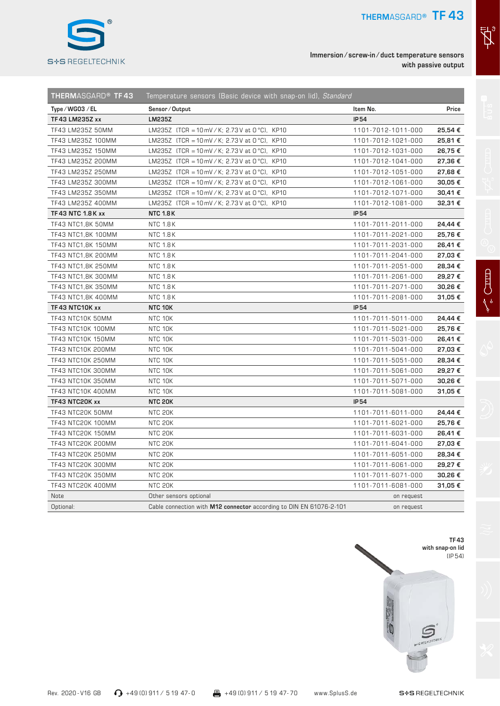$\overleftrightarrow{\mathcal{L}}_\circ$ 

 $\sum_{i=1}^{n} \frac{1}{i} \sum_{i=1}^{n} \frac{1}{i} \sum_{i=1}^{n} \frac{1}{i} \sum_{i=1}^{n} \frac{1}{i} \sum_{i=1}^{n} \frac{1}{i} \sum_{i=1}^{n} \frac{1}{i} \sum_{i=1}^{n} \frac{1}{i} \sum_{i=1}^{n} \frac{1}{i} \sum_{i=1}^{n} \frac{1}{i} \sum_{i=1}^{n} \frac{1}{i} \sum_{i=1}^{n} \frac{1}{i} \sum_{i=1}^{n} \frac{1}{i} \sum_{i=1}^{n} \frac{1}{i$ 



**Immersion ⁄ screw-in ⁄ duct temperature sensors with passive output**

| <b>THERMASGARD® TF43</b> | Temperature sensors (Basic device with snap-on lid), <i>Standard</i>       |                    |         |
|--------------------------|----------------------------------------------------------------------------|--------------------|---------|
| Type/WG03/EL             | Sensor/Output                                                              | Item No.           | Price   |
| TF43 LM235Z xx           | LM235Z                                                                     | <b>IP54</b>        |         |
| TF43 LM235Z 50MM         | LM235Z (TCR = 10 mV / K; 2.73 V at 0 °C), KP10                             | 1101-7012-1011-000 | 25,54€  |
| TF43 LM235Z 100MM        | LM235Z (TCR = 10 mV / K; 2.73 V at 0 °C), KP10                             | 1101-7012-1021-000 | 25,81€  |
| TF43 LM235Z 150MM        | LM235Z (TCR = 10 mV / K; 2.73 V at 0 °C), KP10                             | 1101-7012-1031-000 | 26,75€  |
| TF43 LM235Z 200MM        | LM235Z (TCR = $10 \text{ mV} / K$ ; 2.73V at 0 °C), KP10                   | 1101-7012-1041-000 | 27,36€  |
| TF43 LM235Z 250MM        | LM235Z (TCR = 10 mV / K; 2.73 V at 0 °C), KP10                             | 1101-7012-1051-000 | 27,68€  |
| TF43 LM235Z 300MM        | LM235Z (TCR = 10 mV / K; 2.73 V at 0 °C), KP10                             | 1101-7012-1061-000 | 30,05€  |
| TF43 LM235Z 350MM        | LM235Z (TCR = 10 mV / K; 2.73 V at 0 °C), KP10                             | 1101-7012-1071-000 | 30,41€  |
| TF43 LM235Z 400MM        | LM235Z (TCR = $10 \text{ mV} / K$ ; 2.73V at 0 °C), KP10                   | 1101-7012-1081-000 | 32,31€  |
| <b>TF43 NTC 1.8 K xx</b> | <b>NTC 1.8K</b>                                                            | <b>IP54</b>        |         |
| TF43 NTC1,8K 50MM        | <b>NTC 1.8K</b>                                                            | 1101-7011-2011-000 | 24,44 € |
| TF43 NTC1,8K 100MM       | <b>NTC 1.8K</b>                                                            | 1101-7011-2021-000 | 25,76€  |
| TF43 NTC1,8K 150MM       | <b>NTC 1.8K</b>                                                            | 1101-7011-2031-000 | 26,41€  |
| TF43 NTC1,8K 200MM       | <b>NTC 1.8K</b>                                                            | 1101-7011-2041-000 | 27,03€  |
| TF43 NTC1,8K 250MM       | <b>NTC 1.8K</b>                                                            | 1101-7011-2051-000 | 28,34 € |
| TF43 NTC1,8K 300MM       | <b>NTC 1.8K</b>                                                            | 1101-7011-2061-000 | 29,27€  |
| TF43 NTC1,8K 350MM       | <b>NTC 1.8K</b>                                                            | 1101-7011-2071-000 | 30,26€  |
| TF43 NTC1,8K 400MM       | <b>NTC 1.8K</b>                                                            | 1101-7011-2081-000 | 31,05€  |
| TF43 NTC10K xx           | NTC 10K                                                                    | <b>IP54</b>        |         |
| TF43 NTC10K 50MM         | NTC 10K                                                                    | 1101-7011-5011-000 | 24,44 € |
| <b>TF43 NTC10K 100MM</b> | NTC 10K                                                                    | 1101-7011-5021-000 | 25,76€  |
| TF43 NTC10K 150MM        | NTC 10K                                                                    | 1101-7011-5031-000 | 26,41€  |
| TF43 NTC10K 200MM        | NTC 10K                                                                    | 1101-7011-5041-000 | 27,03 € |
| TF43 NTC10K 250MM        | NTC 10K                                                                    | 1101-7011-5051-000 | 28,34 € |
| TF43 NTC10K 300MM        | NTC 10K                                                                    | 1101-7011-5061-000 | 29,27€  |
| TF43 NTC10K 350MM        | NTC 10K                                                                    | 1101-7011-5071-000 | 30,26€  |
| TF43 NTC10K 400MM        | NTC 10K                                                                    | 1101-7011-5081-000 | 31,05€  |
| TF43 NTC20K xx           | <b>NTC 20K</b>                                                             | <b>IP54</b>        |         |
| TF43 NTC20K 50MM         | NTC 20K                                                                    | 1101-7011-6011-000 | 24,44 € |
| TF43 NTC20K 100MM        | NTC 20K                                                                    | 1101-7011-6021-000 | 25,76€  |
| TF43 NTC20K 150MM        | NTC 20K                                                                    | 1101-7011-6031-000 | 26,41€  |
| TF43 NTC20K 200MM        | NTC 20K                                                                    | 1101-7011-6041-000 | 27,03 € |
| TF43 NTC20K 250MM        | NTC 20K                                                                    | 1101-7011-6051-000 | 28,34 € |
| TF43 NTC20K 300MM        | NTC 20K                                                                    | 1101-7011-6061-000 | 29,27€  |
| TF43 NTC20K 350MM        | NTC 20K                                                                    | 1101-7011-6071-000 | 30,26€  |
| TF43 NTC20K 400MM        | NTC 20K                                                                    | 1101-7011-6081-000 | 31,05€  |
| Note                     | Other sensors optional                                                     | on request         |         |
| Optional:                | Cable connection with <b>M12 connector</b> according to DIN EN 61076-2-101 | on request         |         |



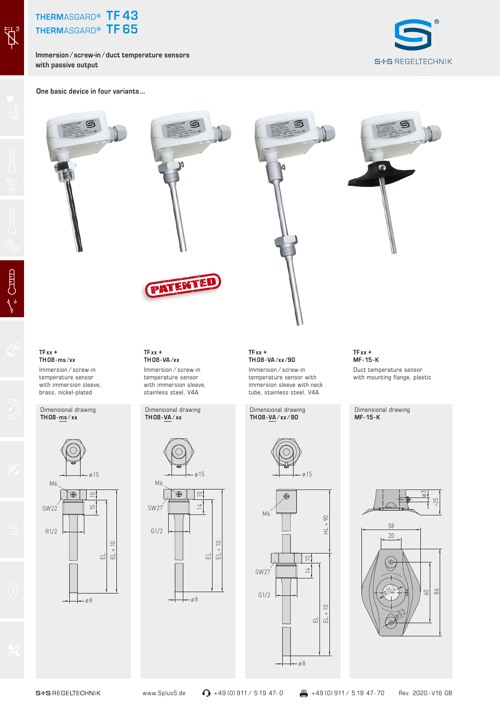## **THERM**ASGARD**® TF 43 THERM**ASGARD**® TF 65**

**Immersion ⁄ screw-in ⁄ duct temperature sensors with passive output**



**One basic device in four variants ...**



 $\vec{A}^{\text{c}}$ 







#### **TF xx + TH 08 - ms ⁄ xx**

Immersion ⁄ screw-in temperature sensor with immersion sleeve, brass, nickel-plated

Dimensional drawing **TH 08 - ms ⁄ xx**



#### **TF xx + TH 08 - VA ⁄ xx** Immersion ⁄ screw-in temperature sensor

Dimensional drawing with immersion sleeve, stainless steel, V4A



## **TF xx + TH 08 - VA ⁄ xx ⁄ 90**

Immersion ⁄ screw-in temperature sensor with immersion sleeve with neck tube, stainless steel, V4A

Dimensional drawing **TH 08 - VA ⁄ xx ⁄ 90**





## **TF xx + MF - 15 - K**

Duct temperature sensor with mounting flange, plastic

Dimensional drawing **MF - 15 - K**



E